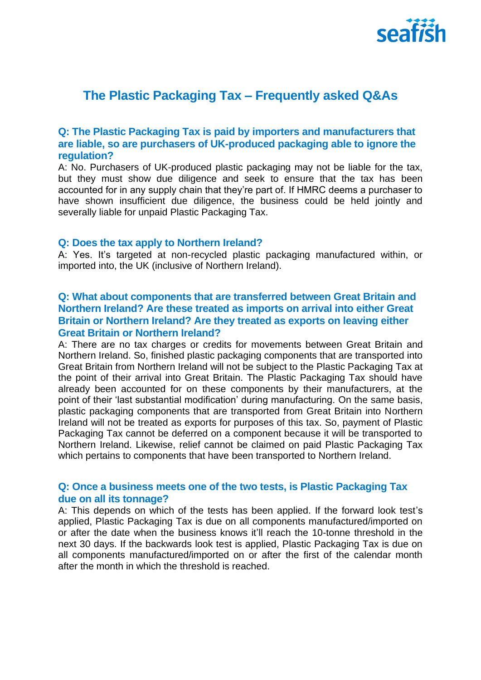

# **The Plastic Packaging Tax – Frequently asked Q&As**

### **Q: The Plastic Packaging Tax is paid by importers and manufacturers that are liable, so are purchasers of UK-produced packaging able to ignore the regulation?**

A: No. Purchasers of UK-produced plastic packaging may not be liable for the tax, but they must show due diligence and seek to ensure that the tax has been accounted for in any supply chain that they're part of. If HMRC deems a purchaser to have shown insufficient due diligence, the business could be held jointly and severally liable for unpaid Plastic Packaging Tax.

#### **Q: Does the tax apply to Northern Ireland?**

A: Yes. It's targeted at non-recycled plastic packaging manufactured within, or imported into, the UK (inclusive of Northern Ireland).

# **Q: What about components that are transferred between Great Britain and Northern Ireland? Are these treated as imports on arrival into either Great Britain or Northern Ireland? Are they treated as exports on leaving either Great Britain or Northern Ireland?**

A: There are no tax charges or credits for movements between Great Britain and Northern Ireland. So, finished plastic packaging components that are transported into Great Britain from Northern Ireland will not be subject to the Plastic Packaging Tax at the point of their arrival into Great Britain. The Plastic Packaging Tax should have already been accounted for on these components by their manufacturers, at the point of their 'last substantial modification' during manufacturing. On the same basis, plastic packaging components that are transported from Great Britain into Northern Ireland will not be treated as exports for purposes of this tax. So, payment of Plastic Packaging Tax cannot be deferred on a component because it will be transported to Northern Ireland. Likewise, relief cannot be claimed on paid Plastic Packaging Tax which pertains to components that have been transported to Northern Ireland.

### **Q: Once a business meets one of the two tests, is Plastic Packaging Tax due on all its tonnage?**

A: This depends on which of the tests has been applied. If the forward look test's applied, Plastic Packaging Tax is due on all components manufactured/imported on or after the date when the business knows it'll reach the 10-tonne threshold in the next 30 days. If the backwards look test is applied, Plastic Packaging Tax is due on all components manufactured/imported on or after the first of the calendar month after the month in which the threshold is reached.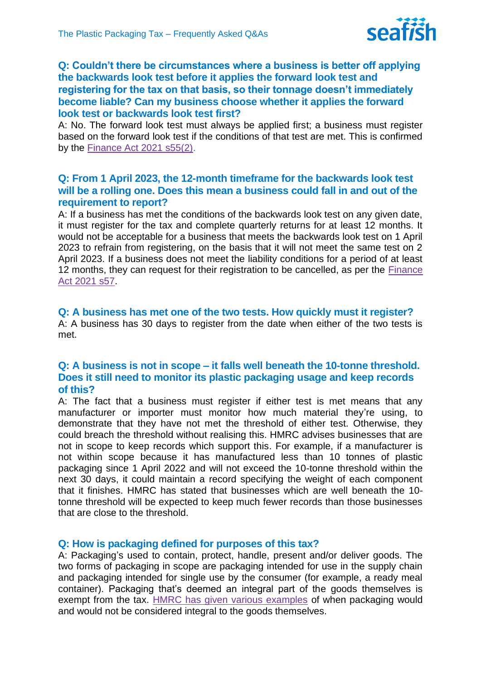

# **Q: Couldn't there be circumstances where a business is better off applying the backwards look test before it applies the forward look test and registering for the tax on that basis, so their tonnage doesn't immediately become liable? Can my business choose whether it applies the forward look test or backwards look test first?**

A: No. The forward look test must always be applied first; a business must register based on the forward look test if the conditions of that test are met. This is confirmed by the [Finance Act 2021 s55\(2\).](https://www.legislation.gov.uk/ukpga/2021/26/section/55/enacted)

# **Q: From 1 April 2023, the 12-month timeframe for the backwards look test will be a rolling one. Does this mean a business could fall in and out of the requirement to report?**

A: If a business has met the conditions of the backwards look test on any given date, it must register for the tax and complete quarterly returns for at least 12 months. It would not be acceptable for a business that meets the backwards look test on 1 April 2023 to refrain from registering, on the basis that it will not meet the same test on 2 April 2023. If a business does not meet the liability conditions for a period of at least 12 months, they can request for their registration to be cancelled, as per the Finance [Act 2021 s57.](https://www.legislation.gov.uk/ukpga/2021/26/section/57/enacted)

#### **Q: A business has met one of the two tests. How quickly must it register?**

A: A business has 30 days to register from the date when either of the two tests is met.

## **Q: A business is not in scope – it falls well beneath the 10-tonne threshold. Does it still need to monitor its plastic packaging usage and keep records of this?**

A: The fact that a business must register if either test is met means that any manufacturer or importer must monitor how much material they're using, to demonstrate that they have not met the threshold of either test. Otherwise, they could breach the threshold without realising this. HMRC advises businesses that are not in scope to keep records which support this. For example, if a manufacturer is not within scope because it has manufactured less than 10 tonnes of plastic packaging since 1 April 2022 and will not exceed the 10-tonne threshold within the next 30 days, it could maintain a record specifying the weight of each component that it finishes. HMRC has stated that businesses which are well beneath the 10 tonne threshold will be expected to keep much fewer records than those businesses that are close to the threshold.

### **Q: How is packaging defined for purposes of this tax?**

A: Packaging's used to contain, protect, handle, present and/or deliver goods. The two forms of packaging in scope are packaging intended for use in the supply chain and packaging intended for single use by the consumer (for example, a ready meal container). Packaging that's deemed an integral part of the goods themselves is exempt from the tax. [HMRC has given various examples](https://www.gov.uk/government/publications/examples-of-packaging-in-and-out-of-scope-of-plastic-packaging-tax/packaging-in-and-out-of-scope-of-plastic-packaging-tax#plastic-packaging-that-is-an-integral-part-of-the-goods) of when packaging would and would not be considered integral to the goods themselves.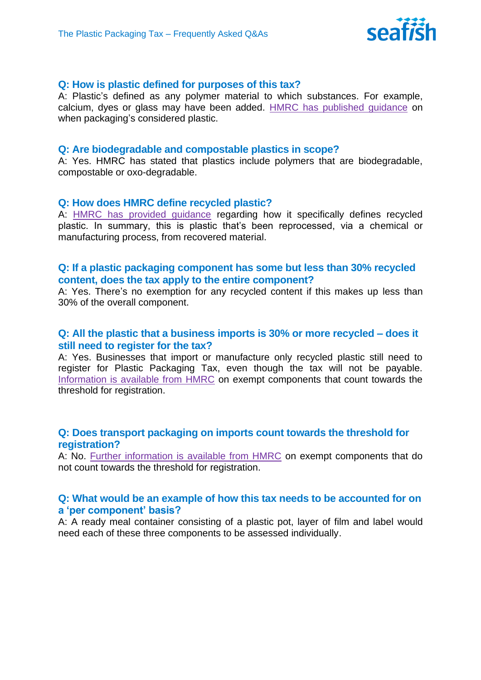

### **Q: How is plastic defined for purposes of this tax?**

A: Plastic's defined as any polymer material to which substances. For example, calcium, dyes or glass may have been added. [HMRC has published guidance](https://www.gov.uk/guidance/work-out-which-packaging-is-subject-to-plastic-packaging-tax#when-packaging-is-considered-plastic) on when packaging's considered plastic.

#### **Q: Are biodegradable and compostable plastics in scope?**

A: Yes. HMRC has stated that plastics include polymers that are biodegradable, compostable or oxo-degradable.

#### **Q: How does HMRC define recycled plastic?**

A: [HMRC has provided guidance](https://www.gov.uk/guidance/work-out-which-packaging-is-subject-to-plastic-packaging-tax#recycled-plastic) regarding how it specifically defines recycled plastic. In summary, this is plastic that's been reprocessed, via a chemical or manufacturing process, from recovered material.

### **Q: If a plastic packaging component has some but less than 30% recycled content, does the tax apply to the entire component?**

A: Yes. There's no exemption for any recycled content if this makes up less than 30% of the overall component.

# **Q: All the plastic that a business imports is 30% or more recycled – does it still need to register for the tax?**

A: Yes. Businesses that import or manufacture only recycled plastic still need to register for Plastic Packaging Tax, even though the tax will not be payable. [Information is available from HMRC](https://www.gov.uk/guidance/check-which-plastic-packaging-is-exempt-from-plastic-packaging-tax#exempt-packaging-which-counts-towards-the-10-tonne-threshold-for-registration) on exempt components that count towards the threshold for registration.

# **Q: Does transport packaging on imports count towards the threshold for registration?**

A: No. [Further information is available from HMRC](https://www.gov.uk/guidance/check-which-plastic-packaging-is-exempt-from-plastic-packaging-tax#exempt-packaging-which-does-not-count-towards-the-10-tonne-threshold-for-registration) on exempt components that do not count towards the threshold for registration.

### **Q: What would be an example of how this tax needs to be accounted for on a 'per component' basis?**

A: A ready meal container consisting of a plastic pot, layer of film and label would need each of these three components to be assessed individually.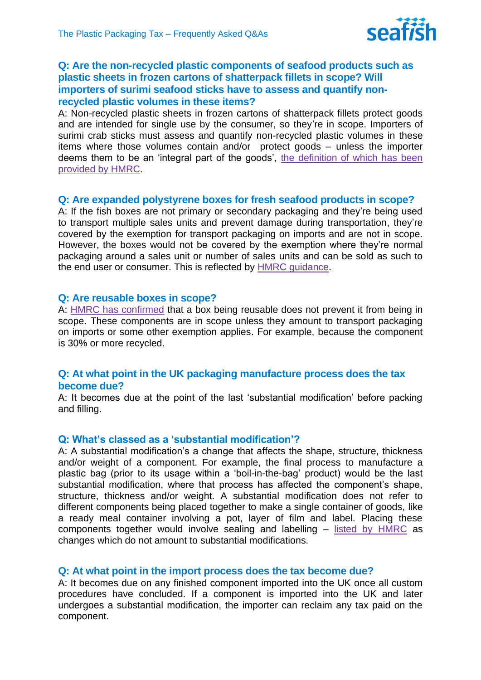

# **Q: Are the non-recycled plastic components of seafood products such as plastic sheets in frozen cartons of shatterpack fillets in scope? Will importers of surimi seafood sticks have to assess and quantify nonrecycled plastic volumes in these items?**

A: Non-recycled plastic sheets in frozen cartons of shatterpack fillets protect goods and are intended for single use by the consumer, so they're in scope. Importers of surimi crab sticks must assess and quantify non-recycled plastic volumes in these items where those volumes contain and/or protect goods – unless the importer deems them to be an 'integral part of the goods', [the definition of which has been](https://www.gov.uk/guidance/check-which-plastic-packaging-is-exempt-from-plastic-packaging-tax#integral)  [provided by HMRC.](https://www.gov.uk/guidance/check-which-plastic-packaging-is-exempt-from-plastic-packaging-tax#integral)

### **Q: Are expanded polystyrene boxes for fresh seafood products in scope?**

A: If the fish boxes are not primary or secondary packaging and they're being used to transport multiple sales units and prevent damage during transportation, they're covered by the exemption for transport packaging on imports and are not in scope. However, the boxes would not be covered by the exemption where they're normal packaging around a sales unit or number of sales units and can be sold as such to the end user or consumer. This is reflected by [HMRC guidance.](https://www.gov.uk/guidance/check-which-plastic-packaging-is-exempt-from-plastic-packaging-tax#exempt-packaging-which-does-not-count-towards-the-10-tonne-threshold-for-registration)

### **Q: Are reusable boxes in scope?**

A: [HMRC has confirmed](https://www.gov.uk/government/publications/examples-of-packaging-in-and-out-of-scope-of-plastic-packaging-tax/packaging-in-and-out-of-scope-of-plastic-packaging-tax#plastic-packaging-designed-for-use-in-the-supply-chain) that a box being reusable does not prevent it from being in scope. These components are in scope unless they amount to transport packaging on imports or some other exemption applies. For example, because the component is 30% or more recycled.

# **Q: At what point in the UK packaging manufacture process does the tax become due?**

A: It becomes due at the point of the last 'substantial modification' before packing and filling.

### **Q: What's classed as a 'substantial modification'?**

A: A substantial modification's a change that affects the shape, structure, thickness and/or weight of a component. For example, the final process to manufacture a plastic bag (prior to its usage within a 'boil-in-the-bag' product) would be the last substantial modification, where that process has affected the component's shape, structure, thickness and/or weight. A substantial modification does not refer to different components being placed together to make a single container of goods, like a ready meal container involving a pot, layer of film and label. Placing these components together would involve sealing and labelling – [listed by HMRC](https://www.gov.uk/guidance/decide-if-you-need-to-register-for-plastic-packaging-tax#changes-which-are-not-classed-as-substantial-modifications) as changes which do not amount to substantial modifications.

# **Q: At what point in the import process does the tax become due?**

A: It becomes due on any finished component imported into the UK once all custom procedures have concluded. If a component is imported into the UK and later undergoes a substantial modification, the importer can reclaim any tax paid on the component.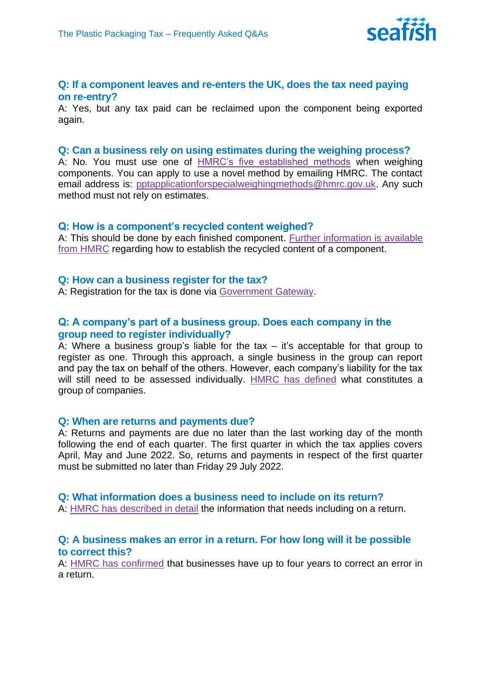

#### **Q: If a component leaves and re-enters the UK, does the tax need paying on re-entry?**

A: Yes, but any tax paid can be reclaimed upon the component being exported again.

#### **Q: Can a business rely on using estimates during the weighing process?**

A: No. You must use one of [HMRC's five established methods](https://www.gov.uk/guidance/how-to-work-out-the-weight-of-packaging-for-plastic-packaging-tax#overall-weight) when weighing components. You can apply to use a novel method by emailing HMRC. The contact email address is: [pptapplicationforspecialweighingmethods@hmrc.gov.uk.](mailto:pptapplicationforspecialweighingmethods@hmrc.gov.uk) Any such method must not rely on estimates.

#### **Q: How is a component's recycled content weighed?**

A: This should be done by each finished component. [Further information is available](https://www.gov.uk/guidance/how-to-work-out-the-weight-of-packaging-for-plastic-packaging-tax#overall-weight)  [from HMRC](https://www.gov.uk/guidance/how-to-work-out-the-weight-of-packaging-for-plastic-packaging-tax#overall-weight) regarding how to establish the recycled content of a component.

#### **Q: How can a business register for the tax?**

A: Registration for the tax is done via [Government Gateway.](https://www.gov.uk/guidance/register-for-plastic-packaging-tax)

### **Q: A company's part of a business group. Does each company in the group need to register individually?**

A: Where a business group's liable for the tax – it's acceptable for that group to register as one. Through this approach, a single business in the group can report and pay the tax on behalf of the others. However, each company's liability for the tax will still need to be assessed individually. [HMRC has defined](https://www.gov.uk/guidance/register-a-group-of-companies-for-plastic-packaging-tax#who-can-register-as-a-group) what constitutes a group of companies.

#### **Q: When are returns and payments due?**

A: Returns and payments are due no later than the last working day of the month following the end of each quarter. The first quarter in which the tax applies covers April, May and June 2022. So, returns and payments in respect of the first quarter must be submitted no later than Friday 29 July 2022.

#### **Q: What information does a business need to include on its return?**

A: [HMRC has described in detail](https://www.gov.uk/guidance/completing-your-plastic-packaging-tax-return#what-you-will-need-to-include-on-your-return) the information that needs including on a return.

### **Q: A business makes an error in a return. For how long will it be possible to correct this?**

A: [HMRC has confirmed](https://www.gov.uk/guidance/completing-your-plastic-packaging-tax-return#correcting-an-error-in-a-previous-tax-return) that businesses have up to four years to correct an error in a return.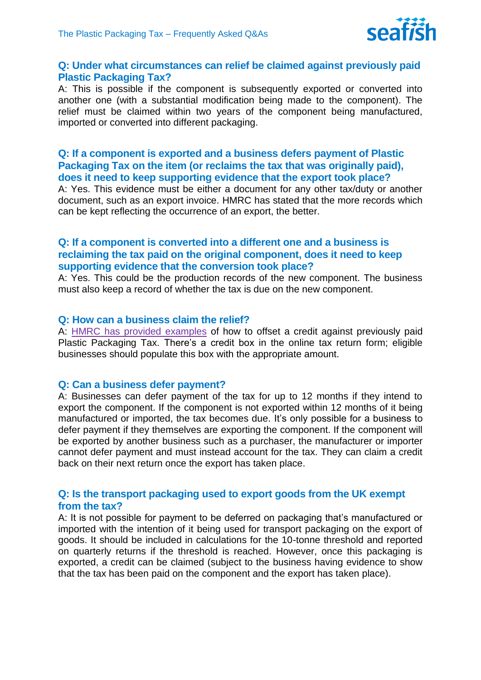

### **Q: Under what circumstances can relief be claimed against previously paid Plastic Packaging Tax?**

A: This is possible if the component is subsequently exported or converted into another one (with a substantial modification being made to the component). The relief must be claimed within two years of the component being manufactured, imported or converted into different packaging.

### **Q: If a component is exported and a business defers payment of Plastic Packaging Tax on the item (or reclaims the tax that was originally paid), does it need to keep supporting evidence that the export took place?**

A: Yes. This evidence must be either a document for any other tax/duty or another document, such as an export invoice. HMRC has stated that the more records which can be kept reflecting the occurrence of an export, the better.

## **Q: If a component is converted into a different one and a business is reclaiming the tax paid on the original component, does it need to keep supporting evidence that the conversion took place?**

A: Yes. This could be the production records of the new component. The business must also keep a record of whether the tax is due on the new component.

#### **Q: How can a business claim the relief?**

A: [HMRC has provided examples](https://www.gov.uk/guidance/claim-a-credit-or-defer-paying-plastic-packaging-tax?msclkid=3293c537d11311ec9eb0d6cbc6904578#when-you-can-claim-a-credit) of how to offset a credit against previously paid Plastic Packaging Tax. There's a credit box in the online tax return form; eligible businesses should populate this box with the appropriate amount.

#### **Q: Can a business defer payment?**

A: Businesses can defer payment of the tax for up to 12 months if they intend to export the component. If the component is not exported within 12 months of it being manufactured or imported, the tax becomes due. It's only possible for a business to defer payment if they themselves are exporting the component. If the component will be exported by another business such as a purchaser, the manufacturer or importer cannot defer payment and must instead account for the tax. They can claim a credit back on their next return once the export has taken place.

### **Q: Is the transport packaging used to export goods from the UK exempt from the tax?**

A: It is not possible for payment to be deferred on packaging that's manufactured or imported with the intention of it being used for transport packaging on the export of goods. It should be included in calculations for the 10-tonne threshold and reported on quarterly returns if the threshold is reached. However, once this packaging is exported, a credit can be claimed (subject to the business having evidence to show that the tax has been paid on the component and the export has taken place).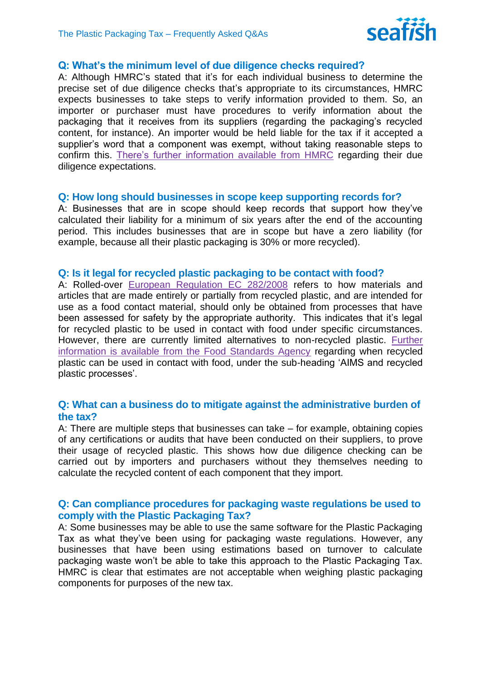

### **Q: What's the minimum level of due diligence checks required?**

A: Although HMRC's stated that it's for each individual business to determine the precise set of due diligence checks that's appropriate to its circumstances, HMRC expects businesses to take steps to verify information provided to them. So, an importer or purchaser must have procedures to verify information about the packaging that it receives from its suppliers (regarding the packaging's recycled content, for instance). An importer would be held liable for the tax if it accepted a supplier's word that a component was exempt, without taking reasonable steps to confirm this. [There's further information available from HMRC](https://www.gov.uk/guidance/how-to-make-due-diligence-checks-for-plastic-packaging-tax) regarding their due diligence expectations.

#### **Q: How long should businesses in scope keep supporting records for?**

A: Businesses that are in scope should keep records that support how they've calculated their liability for a minimum of six years after the end of the accounting period. This includes businesses that are in scope but have a zero liability (for example, because all their plastic packaging is 30% or more recycled).

#### **Q: Is it legal for recycled plastic packaging to be contact with food?**

A: Rolled-over [European Regulation EC 282/2008](https://www.legislation.gov.uk/eur/2008/282/contents) refers to how materials and articles that are made entirely or partially from recycled plastic, and are intended for use as a food contact material, should only be obtained from processes that have been assessed for safety by the appropriate authority. This indicates that it's legal for recycled plastic to be used in contact with food under specific circumstances. However, there are currently limited alternatives to non-recycled plastic. [Further](https://www.food.gov.uk/business-guidance/regulated-products/food-contact-materials-guidance)  [information is available from the Food Standards Agency](https://www.food.gov.uk/business-guidance/regulated-products/food-contact-materials-guidance) regarding when recycled plastic can be used in contact with food, under the sub-heading 'AIMS and recycled plastic processes'.

### **Q: What can a business do to mitigate against the administrative burden of the tax?**

A: There are multiple steps that businesses can take – for example, obtaining copies of any certifications or audits that have been conducted on their suppliers, to prove their usage of recycled plastic. This shows how due diligence checking can be carried out by importers and purchasers without they themselves needing to calculate the recycled content of each component that they import.

### **Q: Can compliance procedures for packaging waste regulations be used to comply with the Plastic Packaging Tax?**

A: Some businesses may be able to use the same software for the Plastic Packaging Tax as what they've been using for packaging waste regulations. However, any businesses that have been using estimations based on turnover to calculate packaging waste won't be able to take this approach to the Plastic Packaging Tax. HMRC is clear that estimates are not acceptable when weighing plastic packaging components for purposes of the new tax.